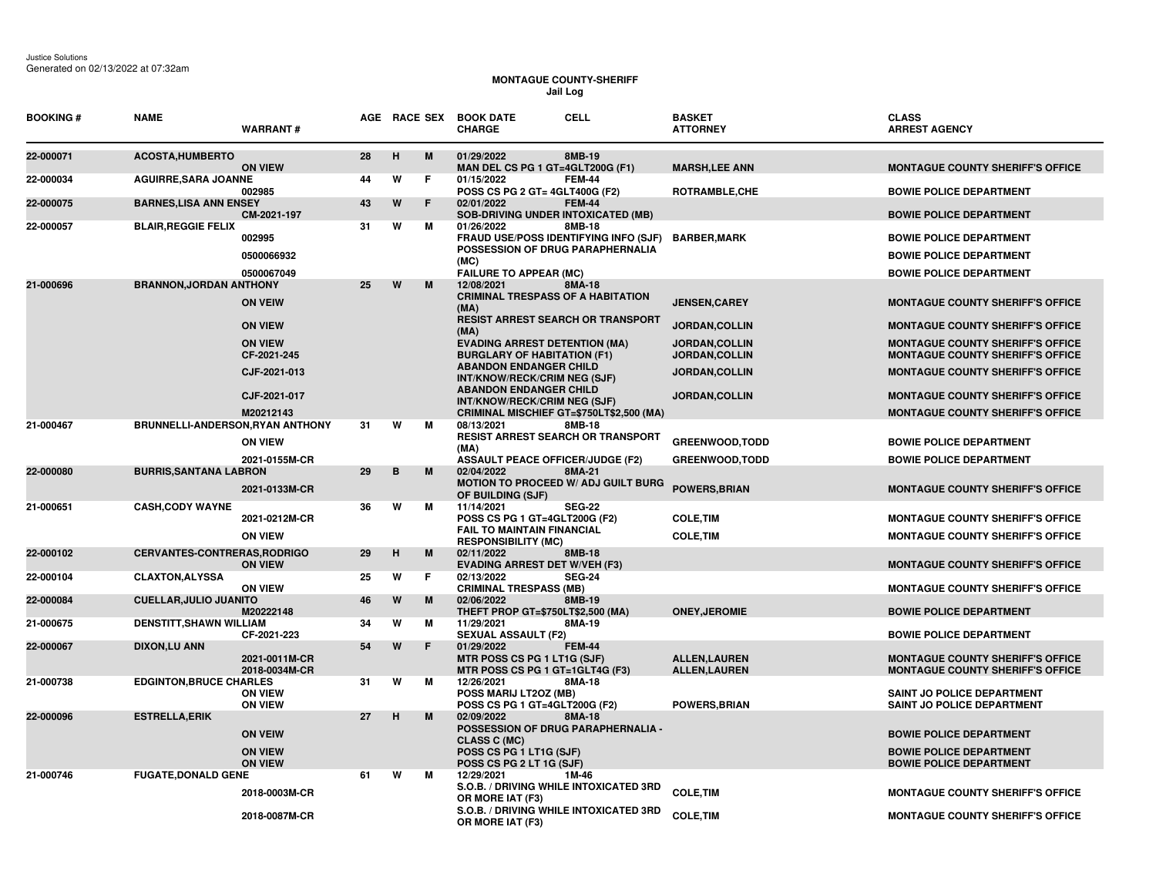## **MONTAGUE COUNTY-SHERIFF Jail Log**

| <b>BOOKING#</b> | <b>NAME</b>                      | <b>WARRANT#</b>                  |    |   | AGE RACE SEX | <b>CELL</b><br><b>BOOK DATE</b><br><b>CHARGE</b>                                                  | <b>BASKET</b><br><b>ATTORNEY</b>           | <b>CLASS</b><br><b>ARREST AGENCY</b>                                               |
|-----------------|----------------------------------|----------------------------------|----|---|--------------|---------------------------------------------------------------------------------------------------|--------------------------------------------|------------------------------------------------------------------------------------|
| 22-000071       | <b>ACOSTA, HUMBERTO</b>          | <b>ON VIEW</b>                   | 28 | H | M            | 01/29/2022<br>8MB-19<br>MAN DEL CS PG 1 GT=4GLT200G (F1)                                          | <b>MARSH, LEE ANN</b>                      | <b>MONTAGUE COUNTY SHERIFF'S OFFICE</b>                                            |
| 22-000034       | <b>AGUIRRE, SARA JOANNE</b>      | 002985                           | 44 | W | F.           | 01/15/2022<br><b>FEM-44</b><br>POSS CS PG 2 GT= 4GLT400G (F2)                                     | ROTRAMBLE, CHE                             | <b>BOWIE POLICE DEPARTMENT</b>                                                     |
| 22-000075       | <b>BARNES, LISA ANN ENSEY</b>    | CM-2021-197                      | 43 | W | F            | 02/01/2022<br><b>FEM-44</b><br><b>SOB-DRIVING UNDER INTOXICATED (MB)</b>                          |                                            | <b>BOWIE POLICE DEPARTMENT</b>                                                     |
| 22-000057       | <b>BLAIR, REGGIE FELIX</b>       | 002995                           | 31 | W | м            | 01/26/2022<br>8MB-18<br>FRAUD USE/POSS IDENTIFYING INFO (SJF)<br>POSSESSION OF DRUG PARAPHERNALIA | <b>BARBER,MARK</b>                         | <b>BOWIE POLICE DEPARTMENT</b>                                                     |
|                 |                                  | 0500066932<br>0500067049         |    |   |              | (MC)<br><b>FAILURE TO APPEAR (MC)</b>                                                             |                                            | <b>BOWIE POLICE DEPARTMENT</b><br><b>BOWIE POLICE DEPARTMENT</b>                   |
| 21-000696       | <b>BRANNON, JORDAN ANTHONY</b>   |                                  | 25 | W | M            | 8MA-18<br>12/08/2021                                                                              |                                            |                                                                                    |
|                 |                                  | <b>ON VEIW</b>                   |    |   |              | <b>CRIMINAL TRESPASS OF A HABITATION</b><br>(MA)<br><b>RESIST ARREST SEARCH OR TRANSPORT</b>      | <b>JENSEN, CAREY</b>                       | <b>MONTAGUE COUNTY SHERIFF'S OFFICE</b>                                            |
|                 |                                  | <b>ON VIEW</b>                   |    |   |              | (MA)                                                                                              | JORDAN, COLLIN                             | <b>MONTAGUE COUNTY SHERIFF'S OFFICE</b>                                            |
|                 |                                  | <b>ON VIEW</b><br>CF-2021-245    |    |   |              | <b>EVADING ARREST DETENTION (MA)</b><br><b>BURGLARY OF HABITATION (F1)</b>                        | JORDAN, COLLIN<br>JORDAN, COLLIN           | <b>MONTAGUE COUNTY SHERIFF'S OFFICE</b><br><b>MONTAGUE COUNTY SHERIFF'S OFFICE</b> |
|                 |                                  | CJF-2021-013                     |    |   |              | <b>ABANDON ENDANGER CHILD</b><br>INT/KNOW/RECK/CRIM NEG (SJF)                                     | JORDAN, COLLIN                             | <b>MONTAGUE COUNTY SHERIFF'S OFFICE</b>                                            |
|                 |                                  | CJF-2021-017                     |    |   |              | <b>ABANDON ENDANGER CHILD</b><br>INT/KNOW/RECK/CRIM NEG (SJF)                                     | JORDAN, COLLIN                             | <b>MONTAGUE COUNTY SHERIFF'S OFFICE</b>                                            |
| 21-000467       | BRUNNELLI-ANDERSON, RYAN ANTHONY | M20212143                        | 31 | W | м            | CRIMINAL MISCHIEF GT=\$750LT\$2,500 (MA)<br>08/13/2021<br>8MB-18                                  |                                            | <b>MONTAGUE COUNTY SHERIFF'S OFFICE</b>                                            |
|                 |                                  | <b>ON VIEW</b>                   |    |   |              | RESIST ARREST SEARCH OR TRANSPORT<br>(MA)                                                         | <b>GREENWOOD, TODD</b>                     | <b>BOWIE POLICE DEPARTMENT</b>                                                     |
|                 |                                  | 2021-0155M-CR                    |    |   |              | <b>ASSAULT PEACE OFFICER/JUDGE (F2)</b>                                                           | <b>GREENWOOD, TODD</b>                     | <b>BOWIE POLICE DEPARTMENT</b>                                                     |
| 22-000080       | <b>BURRIS, SANTANA LABRON</b>    | 2021-0133M-CR                    | 29 | B | M            | 02/04/2022<br>8MA-21<br><b>MOTION TO PROCEED W/ ADJ GUILT BURG</b><br>OF BUILDING (SJF)           | <b>POWERS, BRIAN</b>                       | <b>MONTAGUE COUNTY SHERIFF'S OFFICE</b>                                            |
| 21-000651       | <b>CASH,CODY WAYNE</b>           | 2021-0212M-CR                    | 36 | W | м            | 11/14/2021<br><b>SEG-22</b><br>POSS CS PG 1 GT=4GLT200G (F2)                                      | <b>COLE, TIM</b>                           | <b>MONTAGUE COUNTY SHERIFF'S OFFICE</b>                                            |
|                 |                                  | <b>ON VIEW</b>                   |    |   |              | <b>FAIL TO MAINTAIN FINANCIAL</b><br><b>RESPONSIBILITY (MC)</b>                                   | <b>COLE, TIM</b>                           | <b>MONTAGUE COUNTY SHERIFF'S OFFICE</b>                                            |
| 22-000102       | CERVANTES-CONTRERAS, RODRIGO     | <b>ON VIEW</b>                   | 29 | н | M            | 02/11/2022<br>8MB-18<br><b>EVADING ARREST DET W/VEH (F3)</b>                                      |                                            | <b>MONTAGUE COUNTY SHERIFF'S OFFICE</b>                                            |
| 22-000104       | <b>CLAXTON, ALYSSA</b>           | <b>ON VIEW</b>                   | 25 | W | F.           | 02/13/2022<br><b>SEG-24</b><br><b>CRIMINAL TRESPASS (MB)</b>                                      |                                            | <b>MONTAGUE COUNTY SHERIFF'S OFFICE</b>                                            |
| 22-000084       | <b>CUELLAR, JULIO JUANITO</b>    | M20222148                        | 46 | W | M            | 02/06/2022<br>8MB-19<br>THEFT PROP GT=\$750LT\$2,500 (MA)                                         | <b>ONEY, JEROMIE</b>                       | <b>BOWIE POLICE DEPARTMENT</b>                                                     |
| 21-000675       | <b>DENSTITT, SHAWN WILLIAM</b>   | CF-2021-223                      | 34 | W | м            | 8MA-19<br>11/29/2021<br><b>SEXUAL ASSAULT (F2)</b>                                                |                                            | <b>BOWIE POLICE DEPARTMENT</b>                                                     |
| 22-000067       | <b>DIXON,LU ANN</b>              | 2021-0011M-CR<br>2018-0034M-CR   | 54 | W | F            | 01/29/2022<br><b>FEM-44</b><br>MTR POSS CS PG 1 LT1G (SJF)<br>MTR POSS CS PG 1 GT=1GLT4G (F3)     | <b>ALLEN,LAUREN</b><br><b>ALLEN,LAUREN</b> | <b>MONTAGUE COUNTY SHERIFF'S OFFICE</b><br><b>MONTAGUE COUNTY SHERIFF'S OFFICE</b> |
| 21-000738       | <b>EDGINTON, BRUCE CHARLES</b>   | <b>ON VIEW</b><br><b>ON VIEW</b> | 31 | W | м            | 12/26/2021<br>8MA-18<br>POSS MARIJ LT2OZ (MB)<br>POSS CS PG 1 GT=4GLT200G (F2)                    | <b>POWERS, BRIAN</b>                       | SAINT JO POLICE DEPARTMENT<br>SAINT JO POLICE DEPARTMENT                           |
| 22-000096       | <b>ESTRELLA, ERIK</b>            | <b>ON VEIW</b>                   | 27 | н | M            | 8MA-18<br>02/09/2022<br>POSSESSION OF DRUG PARAPHERNALIA -<br><b>CLASS C (MC)</b>                 |                                            | <b>BOWIE POLICE DEPARTMENT</b>                                                     |
|                 |                                  | <b>ON VIEW</b><br><b>ON VIEW</b> |    |   |              | POSS CS PG 1 LT1G (SJF)<br>POSS CS PG 2 LT 1G (SJF)                                               |                                            | <b>BOWIE POLICE DEPARTMENT</b><br><b>BOWIE POLICE DEPARTMENT</b>                   |
| 21-000746       | <b>FUGATE, DONALD GENE</b>       | 2018-0003M-CR                    | 61 | W | м            | 12/29/2021<br>1M-46<br>S.O.B. / DRIVING WHILE INTOXICATED 3RD<br>OR MORE IAT (F3)                 | <b>COLE.TIM</b>                            | <b>MONTAGUE COUNTY SHERIFF'S OFFICE</b>                                            |
|                 |                                  | 2018-0087M-CR                    |    |   |              | S.O.B. / DRIVING WHILE INTOXICATED 3RD<br>OR MORE IAT (F3)                                        | <b>COLE, TIM</b>                           | <b>MONTAGUE COUNTY SHERIFF'S OFFICE</b>                                            |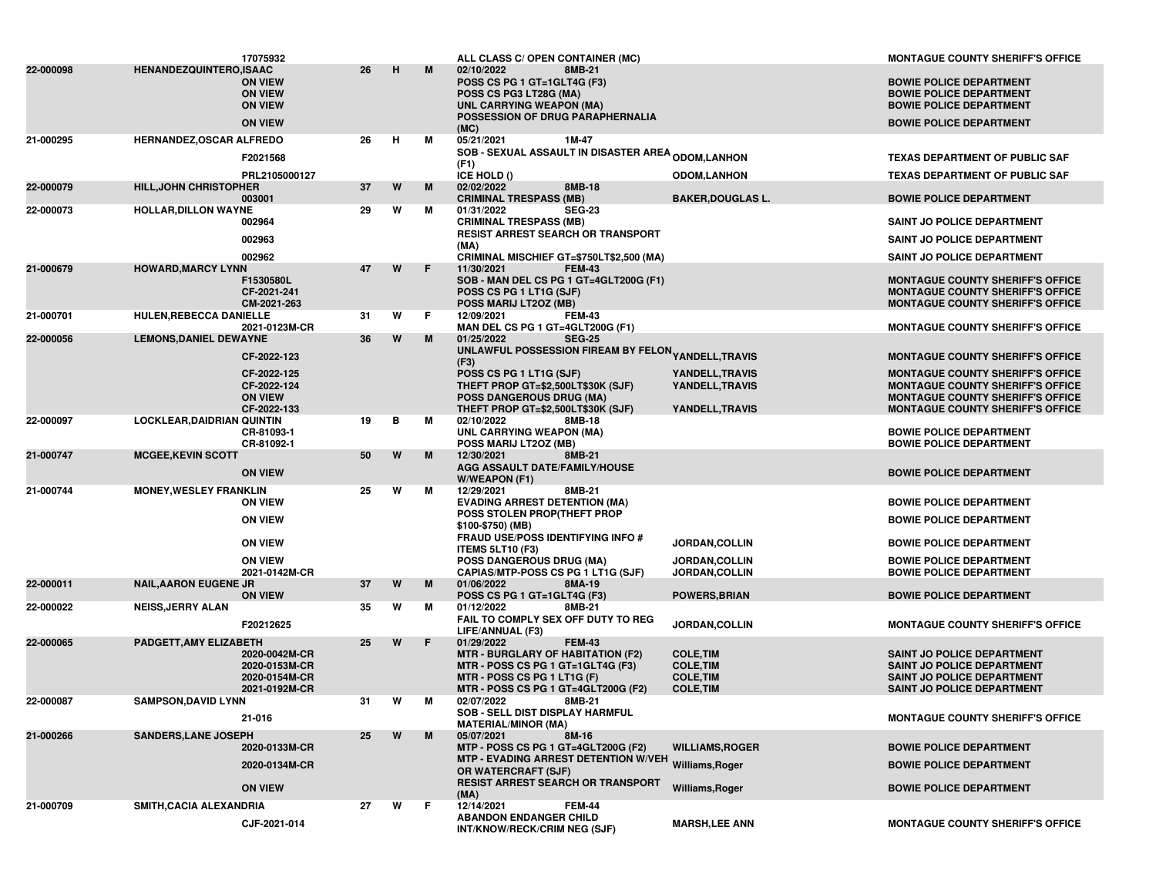|           |                                   | 17075932                                                             |     |   |    | ALL CLASS C/ OPEN CONTAINER (MC)                                                                                                                             |                                        | <b>MONTAGUE COUNTY SHERIFF'S OFFICE</b>                                                                                              |
|-----------|-----------------------------------|----------------------------------------------------------------------|-----|---|----|--------------------------------------------------------------------------------------------------------------------------------------------------------------|----------------------------------------|--------------------------------------------------------------------------------------------------------------------------------------|
| 22-000098 | <b>HENANDEZQUINTERO,ISAAC</b>     | <b>ON VIEW</b><br><b>ON VIEW</b><br><b>ON VIEW</b><br><b>ON VIEW</b> | 26  | H | M  | 8MB-21<br>02/10/2022<br>POSS CS PG 1 GT=1GLT4G (F3)<br>POSS CS PG3 LT28G (MA)<br><b>UNL CARRYING WEAPON (MA)</b><br>POSSESSION OF DRUG PARAPHERNALIA<br>(MC) |                                        | <b>BOWIE POLICE DEPARTMENT</b><br><b>BOWIE POLICE DEPARTMENT</b><br><b>BOWIE POLICE DEPARTMENT</b><br><b>BOWIE POLICE DEPARTMENT</b> |
| 21-000295 | HERNANDEZ, OSCAR ALFREDO          |                                                                      | 26  | н | м  | 05/21/2021<br>1M-47                                                                                                                                          |                                        |                                                                                                                                      |
|           |                                   | F2021568                                                             |     |   |    | <b>SOB - SEXUAL ASSAULT IN DISASTER AREA <sub>ODOM,</sub>LANHON</b><br>(F1)                                                                                  |                                        | <b>TEXAS DEPARTMENT OF PUBLIC SAF</b>                                                                                                |
|           |                                   | PRL2105000127                                                        |     |   |    | ICE HOLD ()                                                                                                                                                  | <b>ODOM,LANHON</b>                     | <b>TEXAS DEPARTMENT OF PUBLIC SAF</b>                                                                                                |
| 22-000079 | <b>HILL, JOHN CHRISTOPHER</b>     |                                                                      | 37  | W | M  | 02/02/2022<br>8MB-18                                                                                                                                         |                                        |                                                                                                                                      |
|           |                                   | 003001                                                               |     |   |    | <b>CRIMINAL TRESPASS (MB)</b>                                                                                                                                | <b>BAKER, DOUGLAS L.</b>               | <b>BOWIE POLICE DEPARTMENT</b>                                                                                                       |
| 22-000073 | <b>HOLLAR, DILLON WAYNE</b>       | 002964                                                               | 29  | W | м  | <b>SEG-23</b><br>01/31/2022<br><b>CRIMINAL TRESPASS (MB)</b>                                                                                                 |                                        | <b>SAINT JO POLICE DEPARTMENT</b>                                                                                                    |
|           |                                   | 002963                                                               |     |   |    | RESIST ARREST SEARCH OR TRANSPORT                                                                                                                            |                                        |                                                                                                                                      |
|           |                                   |                                                                      |     |   |    | (MA)                                                                                                                                                         |                                        | SAINT JO POLICE DEPARTMENT                                                                                                           |
| 21-000679 | <b>HOWARD, MARCY LYNN</b>         | 002962                                                               | 47  | W | F. | CRIMINAL MISCHIEF GT=\$750LT\$2,500 (MA)<br>11/30/2021<br><b>FEM-43</b>                                                                                      |                                        | SAINT JO POLICE DEPARTMENT                                                                                                           |
|           |                                   | F1530580L<br>CF-2021-241<br>CM-2021-263                              |     |   |    | SOB - MAN DEL CS PG 1 GT=4GLT200G (F1)<br>POSS CS PG 1 LT1G (SJF)<br>POSS MARIJ LT2OZ (MB)                                                                   |                                        | <b>MONTAGUE COUNTY SHERIFF'S OFFICE</b><br><b>MONTAGUE COUNTY SHERIFF'S OFFICE</b><br><b>MONTAGUE COUNTY SHERIFF'S OFFICE</b>        |
| 21-000701 | <b>HULEN, REBECCA DANIELLE</b>    |                                                                      | -31 | W | F  | 12/09/2021<br><b>FEM-43</b>                                                                                                                                  |                                        |                                                                                                                                      |
| 22-000056 | <b>LEMONS, DANIEL DEWAYNE</b>     | 2021-0123M-CR                                                        | 36  | W | M  | MAN DEL CS PG 1 GT=4GLT200G (F1)<br>01/25/2022<br><b>SEG-25</b>                                                                                              |                                        | <b>MONTAGUE COUNTY SHERIFF'S OFFICE</b>                                                                                              |
|           |                                   | CF-2022-123                                                          |     |   |    | UNLAWFUL POSSESSION FIREAM BY FELON <sub>YANDELL,</sub> TRAVIS                                                                                               |                                        | <b>MONTAGUE COUNTY SHERIFF'S OFFICE</b>                                                                                              |
|           |                                   |                                                                      |     |   |    | (F3)                                                                                                                                                         |                                        |                                                                                                                                      |
|           |                                   | CF-2022-125<br>CF-2022-124<br><b>ON VIEW</b>                         |     |   |    | POSS CS PG 1 LT1G (SJF)<br>THEFT PROP GT=\$2,500LT\$30K (SJF)<br><b>POSS DANGEROUS DRUG (MA)</b>                                                             | YANDELL, TRAVIS<br>YANDELL, TRAVIS     | <b>MONTAGUE COUNTY SHERIFF'S OFFICE</b><br><b>MONTAGUE COUNTY SHERIFF'S OFFICE</b><br><b>MONTAGUE COUNTY SHERIFF'S OFFICE</b>        |
|           |                                   | CF-2022-133                                                          |     |   |    | THEFT PROP GT=\$2,500LT\$30K (SJF)                                                                                                                           | YANDELL, TRAVIS                        | <b>MONTAGUE COUNTY SHERIFF'S OFFICE</b>                                                                                              |
| 22-000097 | <b>LOCKLEAR, DAIDRIAN QUINTIN</b> | CR-81093-1<br>CR-81092-1                                             | 19  | в | м  | 02/10/2022<br>8MB-18<br><b>UNL CARRYING WEAPON (MA)</b><br>POSS MARIJ LT2OZ (MB)                                                                             |                                        | <b>BOWIE POLICE DEPARTMENT</b><br><b>BOWIE POLICE DEPARTMENT</b>                                                                     |
| 21-000747 | <b>MCGEE, KEVIN SCOTT</b>         | <b>ON VIEW</b>                                                       | 50  | W | M  | 12/30/2021<br>8MB-21<br>AGG ASSAULT DATE/FAMILY/HOUSE<br>W/WEAPON (F1)                                                                                       |                                        | <b>BOWIE POLICE DEPARTMENT</b>                                                                                                       |
| 21-000744 | <b>MONEY, WESLEY FRANKLIN</b>     | <b>ON VIEW</b>                                                       | 25  | W | м  | 12/29/2021<br>8MB-21<br><b>EVADING ARREST DETENTION (MA)</b>                                                                                                 |                                        | <b>BOWIE POLICE DEPARTMENT</b>                                                                                                       |
|           |                                   | <b>ON VIEW</b>                                                       |     |   |    | POSS STOLEN PROP(THEFT PROP<br>\$100-\$750) (MB)                                                                                                             |                                        | <b>BOWIE POLICE DEPARTMENT</b>                                                                                                       |
|           |                                   | <b>ON VIEW</b>                                                       |     |   |    | <b>FRAUD USE/POSS IDENTIFYING INFO #</b><br><b>ITEMS 5LT10 (F3)</b>                                                                                          | JORDAN, COLLIN                         | <b>BOWIE POLICE DEPARTMENT</b>                                                                                                       |
|           |                                   | <b>ON VIEW</b><br>2021-0142M-CR                                      |     |   |    | <b>POSS DANGEROUS DRUG (MA)</b><br>CAPIAS/MTP-POSS CS PG 1 LT1G (SJF)                                                                                        | JORDAN, COLLIN<br><b>JORDAN,COLLIN</b> | <b>BOWIE POLICE DEPARTMENT</b><br><b>BOWIE POLICE DEPARTMENT</b>                                                                     |
| 22-000011 | <b>NAIL, AARON EUGENE JR</b>      |                                                                      | 37  | W | M  | 01/06/2022<br>8MA-19                                                                                                                                         |                                        |                                                                                                                                      |
| 22-000022 | <b>NEISS, JERRY ALAN</b>          | <b>ON VIEW</b>                                                       | 35  | W | м  | POSS CS PG 1 GT=1GLT4G (F3)<br>01/12/2022<br>8MB-21                                                                                                          | <b>POWERS, BRIAN</b>                   | <b>BOWIE POLICE DEPARTMENT</b>                                                                                                       |
|           |                                   | F20212625                                                            |     |   |    | FAIL TO COMPLY SEX OFF DUTY TO REG<br>LIFE/ANNUAL (F3)                                                                                                       | JORDAN, COLLIN                         | <b>MONTAGUE COUNTY SHERIFF'S OFFICE</b>                                                                                              |
| 22-000065 | PADGETT, AMY ELIZABETH            | 2020-0042M-CR<br>2020-0153M-CR                                       | 25  | W | F  | 01/29/2022<br><b>FEM-43</b><br><b>MTR - BURGLARY OF HABITATION (F2)</b><br>MTR - POSS CS PG 1 GT=1GLT4G (F3)                                                 | <b>COLE, TIM</b><br><b>COLE, TIM</b>   | <b>SAINT JO POLICE DEPARTMENT</b><br><b>SAINT JO POLICE DEPARTMENT</b>                                                               |
|           |                                   | 2020-0154M-CR                                                        |     |   |    | MTR - POSS CS PG 1 LT1G (F)                                                                                                                                  | <b>COLE, TIM</b>                       | <b>SAINT JO POLICE DEPARTMENT</b>                                                                                                    |
|           |                                   | 2021-0192M-CR                                                        |     |   |    | MTR - POSS CS PG 1 GT=4GLT200G (F2)                                                                                                                          | <b>COLE, TIM</b>                       | SAINT JO POLICE DEPARTMENT                                                                                                           |
| 22-000087 | <b>SAMPSON.DAVID LYNN</b>         | 21-016                                                               | 31  | W | м  | 02/07/2022<br>8MB-21<br><b>SOB - SELL DIST DISPLAY HARMFUL</b><br><b>MATERIAL/MINOR (MA)</b>                                                                 |                                        | <b>MONTAGUE COUNTY SHERIFF'S OFFICE</b>                                                                                              |
| 21-000266 | <b>SANDERS, LANE JOSEPH</b>       |                                                                      | 25  | W | M  | 8M-16<br>05/07/2021                                                                                                                                          |                                        |                                                                                                                                      |
|           |                                   | 2020-0133M-CR                                                        |     |   |    | MTP - POSS CS PG 1 GT=4GLT200G (F2)                                                                                                                          | <b>WILLIAMS, ROGER</b>                 | <b>BOWIE POLICE DEPARTMENT</b>                                                                                                       |
|           |                                   | 2020-0134M-CR                                                        |     |   |    | MTP - EVADING ARREST DETENTION W/VEH Williams, Roger<br>OR WATERCRAFT (SJF)                                                                                  |                                        | <b>BOWIE POLICE DEPARTMENT</b>                                                                                                       |
|           |                                   | <b>ON VIEW</b>                                                       |     |   |    | <b>RESIST ARREST SEARCH OR TRANSPORT</b><br>(MA)                                                                                                             | Williams, Roger                        | <b>BOWIE POLICE DEPARTMENT</b>                                                                                                       |
| 21-000709 | SMITH, CACIA ALEXANDRIA           |                                                                      | 27  | W | F. | 12/14/2021<br><b>FEM-44</b>                                                                                                                                  |                                        |                                                                                                                                      |
|           |                                   | CJF-2021-014                                                         |     |   |    | <b>ABANDON ENDANGER CHILD</b><br>INT/KNOW/RECK/CRIM NEG (SJF)                                                                                                | <b>MARSH,LEE ANN</b>                   | <b>MONTAGUE COUNTY SHERIFF'S OFFICE</b>                                                                                              |